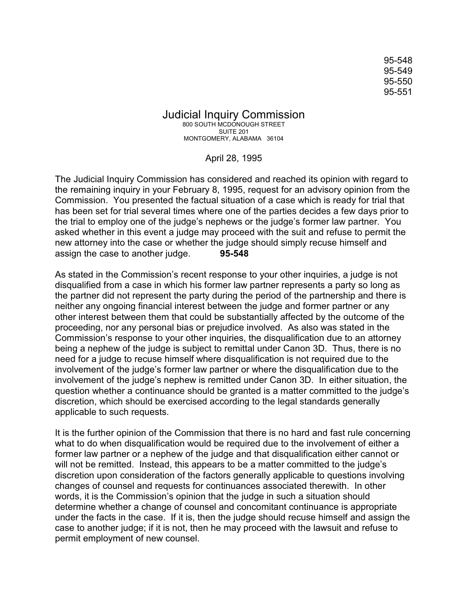95-548 95-549 95-550 95-551

Judicial Inquiry Commission 800 SOUTH MCDONOUGH STREET SUITE 201 MONTGOMERY, ALABAMA 36104

April 28, 1995

The Judicial Inquiry Commission has considered and reached its opinion with regard to the remaining inquiry in your February 8, 1995, request for an advisory opinion from the Commission. You presented the factual situation of a case which is ready for trial that has been set for trial several times where one of the parties decides a few days prior to the trial to employ one of the judge's nephews or the judge's former law partner. You asked whether in this event a judge may proceed with the suit and refuse to permit the new attorney into the case or whether the judge should simply recuse himself and assign the case to another judge. **95-548**

As stated in the Commission's recent response to your other inquiries, a judge is not disqualified from a case in which his former law partner represents a party so long as the partner did not represent the party during the period of the partnership and there is neither any ongoing financial interest between the judge and former partner or any other interest between them that could be substantially affected by the outcome of the proceeding, nor any personal bias or prejudice involved. As also was stated in the Commission's response to your other inquiries, the disqualification due to an attorney being a nephew of the judge is subject to remittal under Canon 3D. Thus, there is no need for a judge to recuse himself where disqualification is not required due to the involvement of the judge's former law partner or where the disqualification due to the involvement of the judge's nephew is remitted under Canon 3D. In either situation, the question whether a continuance should be granted is a matter committed to the judge's discretion, which should be exercised according to the legal standards generally applicable to such requests.

It is the further opinion of the Commission that there is no hard and fast rule concerning what to do when disqualification would be required due to the involvement of either a former law partner or a nephew of the judge and that disqualification either cannot or will not be remitted. Instead, this appears to be a matter committed to the judge's discretion upon consideration of the factors generally applicable to questions involving changes of counsel and requests for continuances associated therewith. In other words, it is the Commission's opinion that the judge in such a situation should determine whether a change of counsel and concomitant continuance is appropriate under the facts in the case. If it is, then the judge should recuse himself and assign the case to another judge; if it is not, then he may proceed with the lawsuit and refuse to permit employment of new counsel.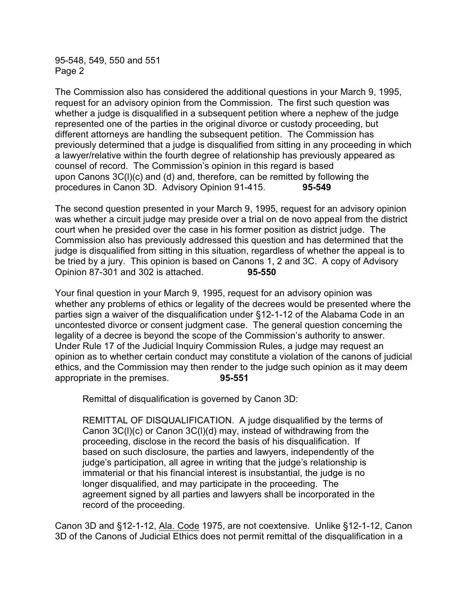95-548, 549, 550 and 551 Page 2

The Commission also has considered the additional questions in your March 9, 1995, request for an advisory opinion from the Commission. The first such question was whether a judge is disqualified in a subsequent petition where a nephew of the judge represented one of the parties in the original divorce or custody proceeding, but different attorneys are handling the subsequent petition. The Commission has previously determined that a judge is disqualified from sitting in any proceeding in which a lawyer/relative within the fourth degree of relationship has previously appeared as counsel of record. The Commission's opinion in this regard is based upon Canons 3C(l)(c) and (d) and, therefore, can be remitted by following the procedures in Canon 3D. Advisory Opinion 91-415. **95-549**

The second question presented in your March 9, 1995, request for an advisory opinion was whether a circuit judge may preside over a trial on de novo appeal from the district court when he presided over the case in his former position as district judge. The Commission also has previously addressed this question and has determined that the judge is disqualified from sitting in this situation, regardless of whether the appeal is to be tried by a jury. This opinion is based on Canons 1, 2 and 3C. A copy of Advisory Opinion 87-301 and 302 is attached. **95-550**

Your final question in your March 9, 1995, request for an advisory opinion was whether any problems of ethics or legality of the decrees would be presented where the parties sign a waiver of the disqualification under §12-1-12 of the Alabama Code in an uncontested divorce or consent judgment case. The general question concerning the legality of a decree is beyond the scope of the Commission's authority to answer. Under Rule 17 of the Judicial Inquiry Commission Rules, a judge may request an opinion as to whether certain conduct may constitute a violation of the canons of judicial ethics, and the Commission may then render to the judge such opinion as it may deem appropriate in the premises. **95-551**

Remittal of disqualification is governed by Canon 3D:

REMITTAL OF DISQUALIFICATION. A judge disqualified by the terms of Canon 3C(l)(c) or Canon 3C(l)(d) may, instead of withdrawing from the proceeding, disclose in the record the basis of his disqualification. If based on such disclosure, the parties and lawyers, independently of the judge's participation, all agree in writing that the judge's relationship is immaterial or that his financial interest is insubstantial, the judge is no longer disqualified, and may participate in the proceeding. The agreement signed by all parties and lawyers shall be incorporated in the record of the proceeding.

Canon 3D and §12-1-12, Ala. Code 1975, are not coextensive. Unlike §12-1-12, Canon 3D of the Canons of Judicial Ethics does not permit remittal of the disqualification in a